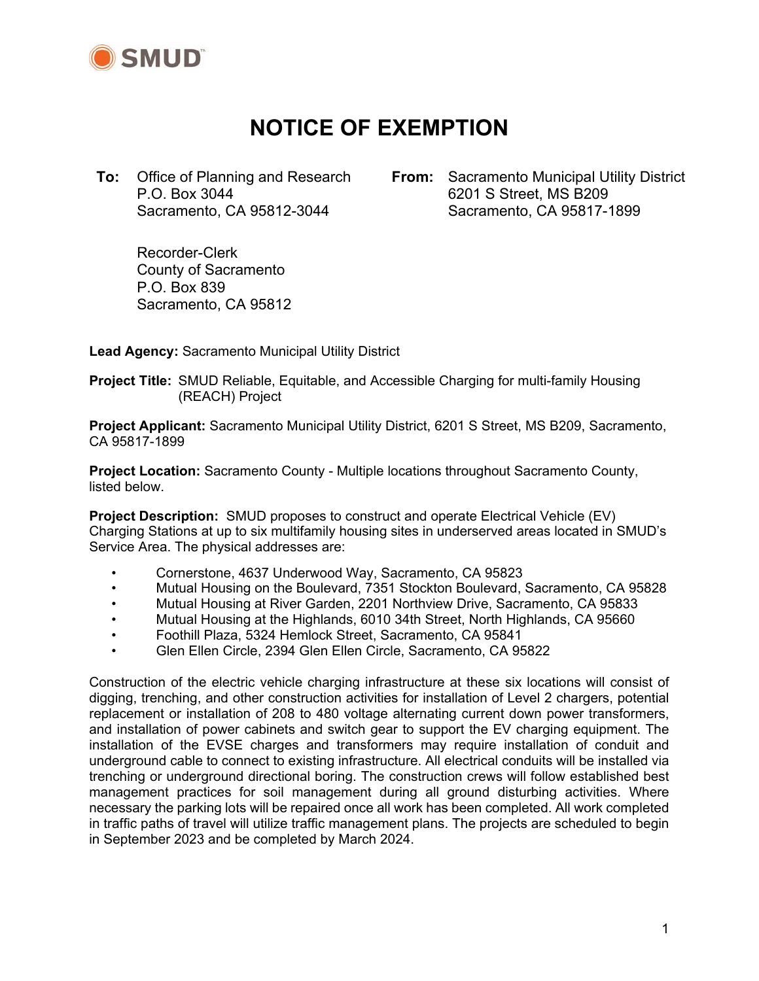

# **NOTICE OF EXEMPTION**

**To:** Office of Planning and Research P.O. Box 3044 Sacramento, CA 95812-3044

**From:** Sacramento Municipal Utility District 6201 S Street, MS B209 Sacramento, CA 95817-1899

 Recorder-Clerk County of Sacramento P.O. Box 839 Sacramento, CA 95812

**Lead Agency:** Sacramento Municipal Utility District

**Project Title:** SMUD Reliable, Equitable, and Accessible Charging for multi-family Housing (REACH) Project

**Project Applicant:** Sacramento Municipal Utility District, 6201 S Street, MS B209, Sacramento, CA 95817-1899

**Project Location:** Sacramento County - Multiple locations throughout Sacramento County, listed below.

**Project Description:** SMUD proposes to construct and operate Electrical Vehicle (EV) Charging Stations at up to six multifamily housing sites in underserved areas located in SMUD's Service Area. The physical addresses are:

- Cornerstone, 4637 Underwood Way, Sacramento, CA 95823
- Mutual Housing on the Boulevard, 7351 Stockton Boulevard, Sacramento, CA 95828
- Mutual Housing at River Garden, 2201 Northview Drive, Sacramento, CA 95833
- Mutual Housing at the Highlands, 6010 34th Street, North Highlands, CA 95660
- Foothill Plaza, 5324 Hemlock Street, Sacramento, CA 95841
- Glen Ellen Circle, 2394 Glen Ellen Circle, Sacramento, CA 95822

Construction of the electric vehicle charging infrastructure at these six locations will consist of digging, trenching, and other construction activities for installation of Level 2 chargers, potential replacement or installation of 208 to 480 voltage alternating current down power transformers, and installation of power cabinets and switch gear to support the EV charging equipment. The installation of the EVSE charges and transformers may require installation of conduit and underground cable to connect to existing infrastructure. All electrical conduits will be installed via trenching or underground directional boring. The construction crews will follow established best management practices for soil management during all ground disturbing activities. Where necessary the parking lots will be repaired once all work has been completed. All work completed in traffic paths of travel will utilize traffic management plans. The projects are scheduled to begin in September 2023 and be completed by March 2024.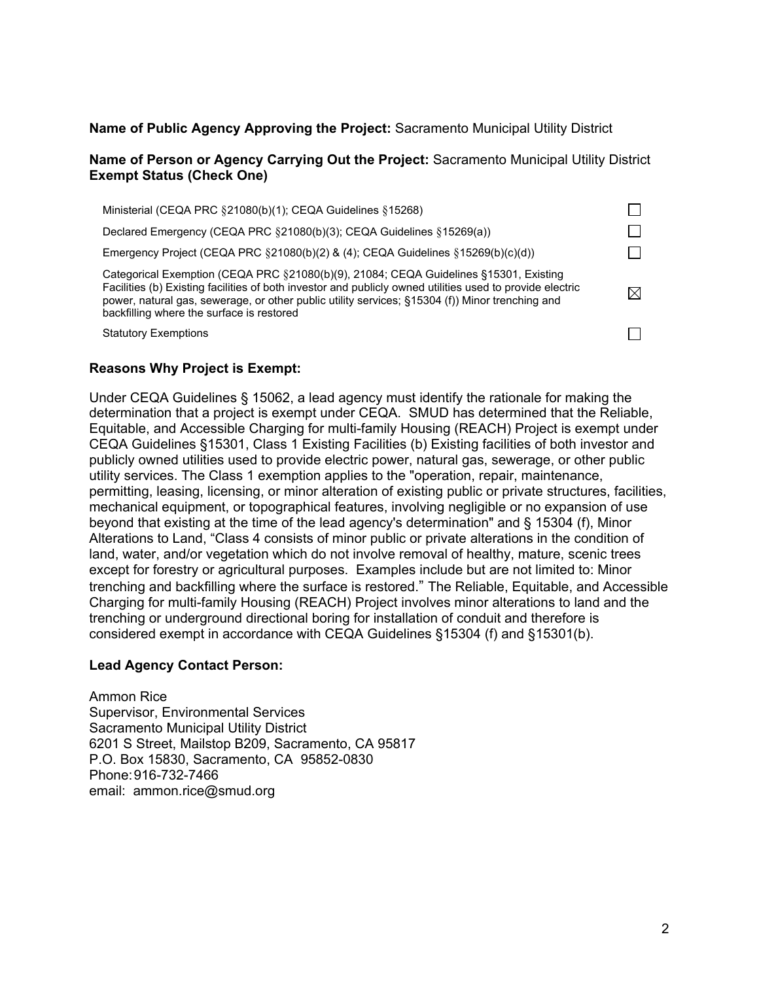### **Name of Public Agency Approving the Project:** Sacramento Municipal Utility District

#### **Name of Person or Agency Carrying Out the Project:** Sacramento Municipal Utility District **Exempt Status (Check One)**

| Ministerial (CEQA PRC §21080(b)(1); CEQA Guidelines §15268)                                                                                                                                                                                                                                                                                        |             |
|----------------------------------------------------------------------------------------------------------------------------------------------------------------------------------------------------------------------------------------------------------------------------------------------------------------------------------------------------|-------------|
| Declared Emergency (CEQA PRC §21080(b)(3); CEQA Guidelines §15269(a))                                                                                                                                                                                                                                                                              |             |
| Emergency Project (CEQA PRC §21080(b)(2) & (4); CEQA Guidelines §15269(b)(c)(d))                                                                                                                                                                                                                                                                   |             |
| Categorical Exemption (CEQA PRC §21080(b)(9), 21084; CEQA Guidelines §15301, Existing<br>Facilities (b) Existing facilities of both investor and publicly owned utilities used to provide electric<br>power, natural gas, sewerage, or other public utility services; §15304 (f)) Minor trenching and<br>backfilling where the surface is restored | $\boxtimes$ |
| <b>Statutory Exemptions</b>                                                                                                                                                                                                                                                                                                                        |             |
|                                                                                                                                                                                                                                                                                                                                                    |             |

## **Reasons Why Project is Exempt:**

Under CEQA Guidelines § 15062, a lead agency must identify the rationale for making the determination that a project is exempt under CEQA. SMUD has determined that the Reliable, Equitable, and Accessible Charging for multi-family Housing (REACH) Project is exempt under CEQA Guidelines §15301, Class 1 Existing Facilities (b) Existing facilities of both investor and publicly owned utilities used to provide electric power, natural gas, sewerage, or other public utility services. The Class 1 exemption applies to the "operation, repair, maintenance, permitting, leasing, licensing, or minor alteration of existing public or private structures, facilities, mechanical equipment, or topographical features, involving negligible or no expansion of use beyond that existing at the time of the lead agency's determination" and § 15304 (f), Minor Alterations to Land, "Class 4 consists of minor public or private alterations in the condition of land, water, and/or vegetation which do not involve removal of healthy, mature, scenic trees except for forestry or agricultural purposes. Examples include but are not limited to: Minor trenching and backfilling where the surface is restored." The Reliable, Equitable, and Accessible Charging for multi-family Housing (REACH) Project involves minor alterations to land and the trenching or underground directional boring for installation of conduit and therefore is considered exempt in accordance with CEQA Guidelines §15304 (f) and §15301(b).

#### **Lead Agency Contact Person:**

Ammon Rice Supervisor, Environmental Services Sacramento Municipal Utility District 6201 S Street, Mailstop B209, Sacramento, CA 95817 P.O. Box 15830, Sacramento, CA 95852-0830 Phone: 916-732-7466 email: ammon.rice@smud.org